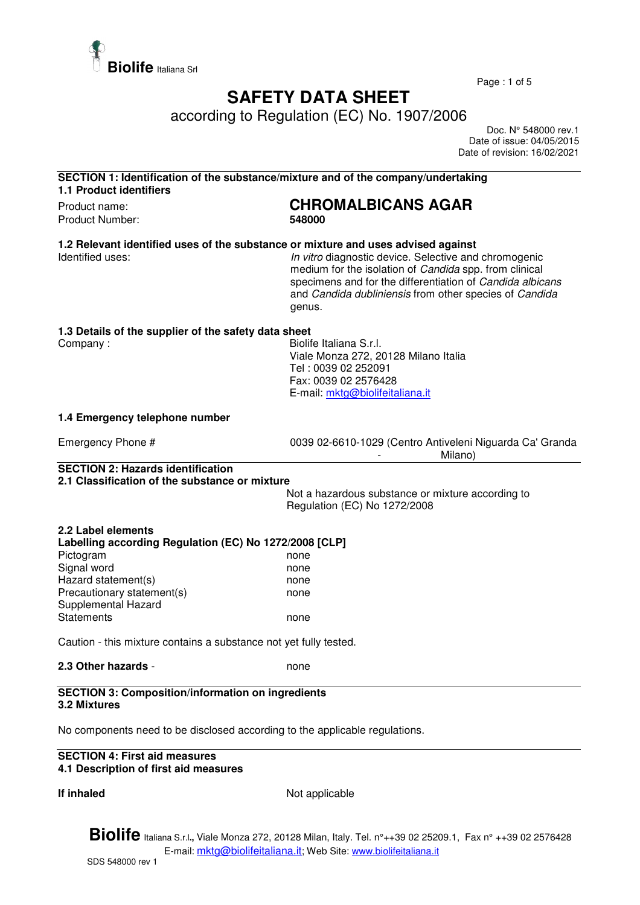

Page : 1 of 5

# **SAFETY DATA SHEET**

according to Regulation (EC) No. 1907/2006

 Doc. N° 548000 rev.1 Date of issue: 04/05/2015 Date of revision: 16/02/2021

| <b>1.1 Product identifiers</b>                                                             | SECTION 1: Identification of the substance/mixture and of the company/undertaking                                                                                                                                                                                                                                                     |
|--------------------------------------------------------------------------------------------|---------------------------------------------------------------------------------------------------------------------------------------------------------------------------------------------------------------------------------------------------------------------------------------------------------------------------------------|
| Product name:<br>Product Number:                                                           | <b>CHROMALBICANS AGAR</b><br>548000                                                                                                                                                                                                                                                                                                   |
| Identified uses:                                                                           | 1.2 Relevant identified uses of the substance or mixture and uses advised against<br>In vitro diagnostic device. Selective and chromogenic<br>medium for the isolation of Candida spp. from clinical<br>specimens and for the differentiation of Candida albicans<br>and Candida dubliniensis from other species of Candida<br>genus. |
| 1.3 Details of the supplier of the safety data sheet<br>Company:                           | Biolife Italiana S.r.I.<br>Viale Monza 272, 20128 Milano Italia<br>Tel: 0039 02 252091<br>Fax: 0039 02 2576428<br>E-mail: mktg@biolifeitaliana.it                                                                                                                                                                                     |
| 1.4 Emergency telephone number                                                             |                                                                                                                                                                                                                                                                                                                                       |
| Emergency Phone #                                                                          | 0039 02-6610-1029 (Centro Antiveleni Niguarda Ca' Granda<br>Milano)                                                                                                                                                                                                                                                                   |
| <b>SECTION 2: Hazards identification</b><br>2.1 Classification of the substance or mixture |                                                                                                                                                                                                                                                                                                                                       |
|                                                                                            | Not a hazardous substance or mixture according to<br>Regulation (EC) No 1272/2008                                                                                                                                                                                                                                                     |
| 2.2 Label elements                                                                         |                                                                                                                                                                                                                                                                                                                                       |
| Labelling according Regulation (EC) No 1272/2008 [CLP]                                     |                                                                                                                                                                                                                                                                                                                                       |
| Pictogram                                                                                  | none                                                                                                                                                                                                                                                                                                                                  |
| Signal word                                                                                | none                                                                                                                                                                                                                                                                                                                                  |
| Hazard statement(s)                                                                        | none                                                                                                                                                                                                                                                                                                                                  |
| Precautionary statement(s)<br>Supplemental Hazard                                          | none                                                                                                                                                                                                                                                                                                                                  |
| <b>Statements</b>                                                                          | none                                                                                                                                                                                                                                                                                                                                  |
|                                                                                            |                                                                                                                                                                                                                                                                                                                                       |
| Caution - this mixture contains a substance not yet fully tested.                          |                                                                                                                                                                                                                                                                                                                                       |

No components need to be disclosed according to the applicable regulations.

#### **SECTION 4: First aid measures 4.1 Description of first aid measures**

**If inhaled** Not applicable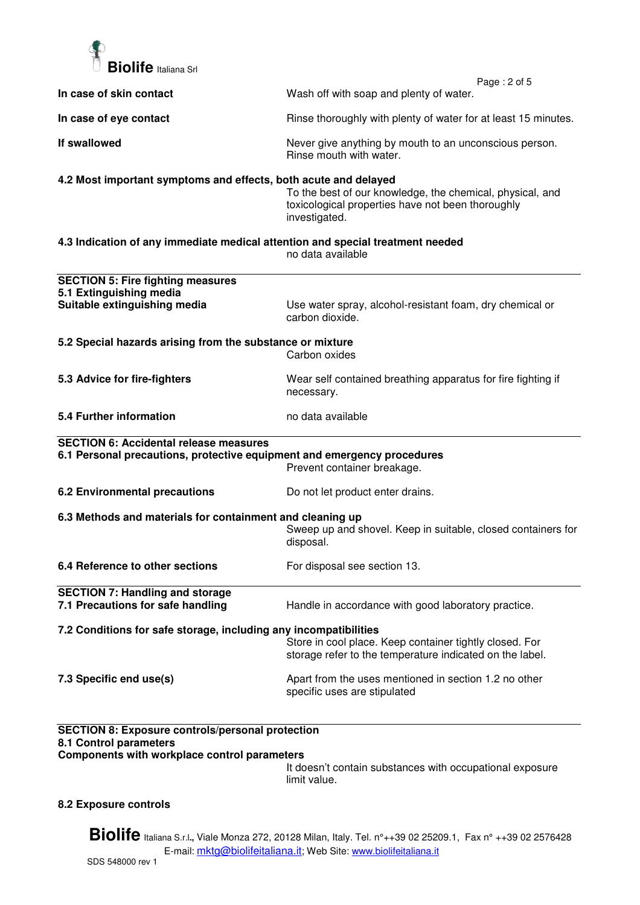

|                                                                                   | Page: 2 of 5                                                                                                                    |  |
|-----------------------------------------------------------------------------------|---------------------------------------------------------------------------------------------------------------------------------|--|
| In case of skin contact                                                           | Wash off with soap and plenty of water.                                                                                         |  |
| In case of eye contact                                                            | Rinse thoroughly with plenty of water for at least 15 minutes.                                                                  |  |
| If swallowed                                                                      | Never give anything by mouth to an unconscious person.<br>Rinse mouth with water.                                               |  |
| 4.2 Most important symptoms and effects, both acute and delayed                   | To the best of our knowledge, the chemical, physical, and<br>toxicological properties have not been thoroughly<br>investigated. |  |
| 4.3 Indication of any immediate medical attention and special treatment needed    | no data available                                                                                                               |  |
| <b>SECTION 5: Fire fighting measures</b>                                          |                                                                                                                                 |  |
| 5.1 Extinguishing media                                                           |                                                                                                                                 |  |
| Suitable extinguishing media                                                      | Use water spray, alcohol-resistant foam, dry chemical or<br>carbon dioxide.                                                     |  |
| 5.2 Special hazards arising from the substance or mixture                         |                                                                                                                                 |  |
|                                                                                   | Carbon oxides                                                                                                                   |  |
| 5.3 Advice for fire-fighters                                                      | Wear self contained breathing apparatus for fire fighting if<br>necessary.                                                      |  |
| 5.4 Further information                                                           | no data available                                                                                                               |  |
| <b>SECTION 6: Accidental release measures</b>                                     |                                                                                                                                 |  |
| 6.1 Personal precautions, protective equipment and emergency procedures           | Prevent container breakage.                                                                                                     |  |
| <b>6.2 Environmental precautions</b>                                              | Do not let product enter drains.                                                                                                |  |
| 6.3 Methods and materials for containment and cleaning up                         | Sweep up and shovel. Keep in suitable, closed containers for<br>disposal.                                                       |  |
| 6.4 Reference to other sections                                                   | For disposal see section 13.                                                                                                    |  |
| <b>SECTION 7: Handling and storage</b><br>7.1 Precautions for safe handling       | Handle in accordance with good laboratory practice.                                                                             |  |
| 7.2 Conditions for safe storage, including any incompatibilities                  |                                                                                                                                 |  |
|                                                                                   | Store in cool place. Keep container tightly closed. For<br>storage refer to the temperature indicated on the label.             |  |
| 7.3 Specific end use(s)                                                           | Apart from the uses mentioned in section 1.2 no other<br>specific uses are stipulated                                           |  |
| <b>SECTION 8: Exposure controls/personal protection</b><br>8.1 Control parameters |                                                                                                                                 |  |
| Components with workplace control parameters                                      |                                                                                                                                 |  |

It doesn't contain substances with occupational exposure limit value.

## **8.2 Exposure controls**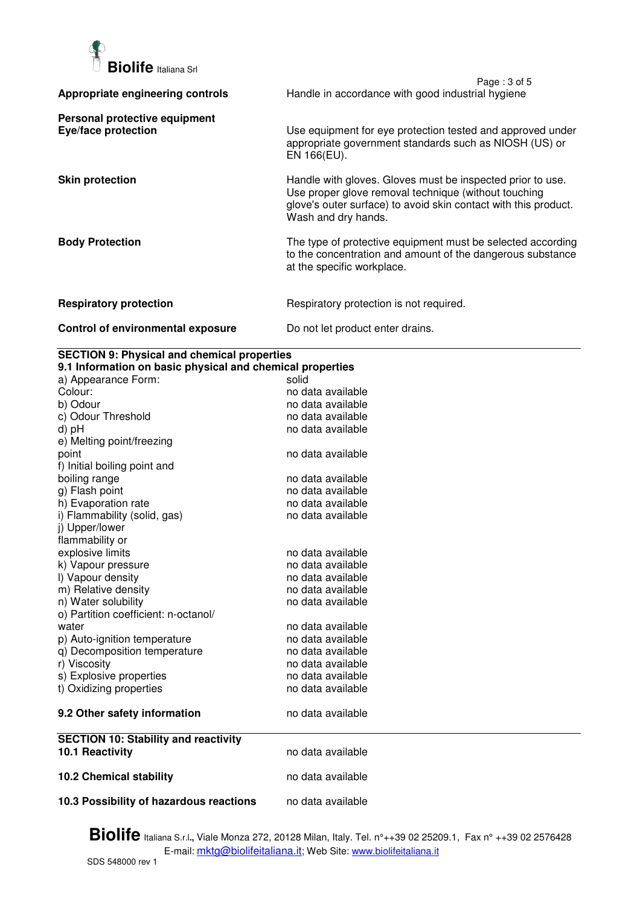

|                                                      | Page: 3 of 5                                                                                                                                                                                                 |
|------------------------------------------------------|--------------------------------------------------------------------------------------------------------------------------------------------------------------------------------------------------------------|
| Appropriate engineering controls                     | Handle in accordance with good industrial hygiene                                                                                                                                                            |
| Personal protective equipment<br>Eye/face protection | Use equipment for eye protection tested and approved under<br>appropriate government standards such as NIOSH (US) or<br>EN 166(EU).                                                                          |
| <b>Skin protection</b>                               | Handle with gloves. Gloves must be inspected prior to use.<br>Use proper glove removal technique (without touching<br>glove's outer surface) to avoid skin contact with this product.<br>Wash and dry hands. |
| <b>Body Protection</b>                               | The type of protective equipment must be selected according<br>to the concentration and amount of the dangerous substance<br>at the specific workplace.                                                      |
| <b>Respiratory protection</b>                        | Respiratory protection is not required.                                                                                                                                                                      |
| Control of environmental exposure                    | Do not let product enter drains.                                                                                                                                                                             |

### **SECTION 9: Physical and chemical properties**

| 9.1 Information on basic physical and chemical properties |                   |
|-----------------------------------------------------------|-------------------|
| a) Appearance Form:                                       | solid             |
| Colour:                                                   | no data available |
| b) Odour                                                  | no data available |
| c) Odour Threshold                                        | no data available |
| d) pH                                                     | no data available |
| e) Melting point/freezing                                 |                   |
| point                                                     | no data available |
| f) Initial boiling point and                              |                   |
| boiling range                                             | no data available |
| g) Flash point                                            | no data available |
| h) Evaporation rate                                       | no data available |
| i) Flammability (solid, gas)                              | no data available |
| j) Upper/lower                                            |                   |
| flammability or                                           |                   |
| explosive limits                                          | no data available |
| k) Vapour pressure                                        | no data available |
| I) Vapour density                                         | no data available |
| m) Relative density                                       | no data available |
| n) Water solubility                                       | no data available |
| o) Partition coefficient: n-octanol/                      |                   |
| water                                                     | no data available |
| p) Auto-ignition temperature                              | no data available |
| q) Decomposition temperature                              | no data available |
| r) Viscosity                                              | no data available |
| s) Explosive properties                                   | no data available |
| t) Oxidizing properties                                   | no data available |
| 9.2 Other safety information                              | no data available |
| <b>SECTION 10: Stability and reactivity</b>               |                   |
| 10.1 Reactivity                                           | no data available |
| <b>10.2 Chemical stability</b>                            | no data available |
| 10.3 Possibility of hazardous reactions                   | no data available |
|                                                           |                   |

**Biolife** Italiana S.r.l**.,** Viale Monza 272, 20128 Milan, Italy. Tel. n°++39 02 25209.1, Fax n° ++39 02 2576428 E-mail: <u>mktg@biolifeitaliana.it</u>; Web Site: www.biolifeitaliana.it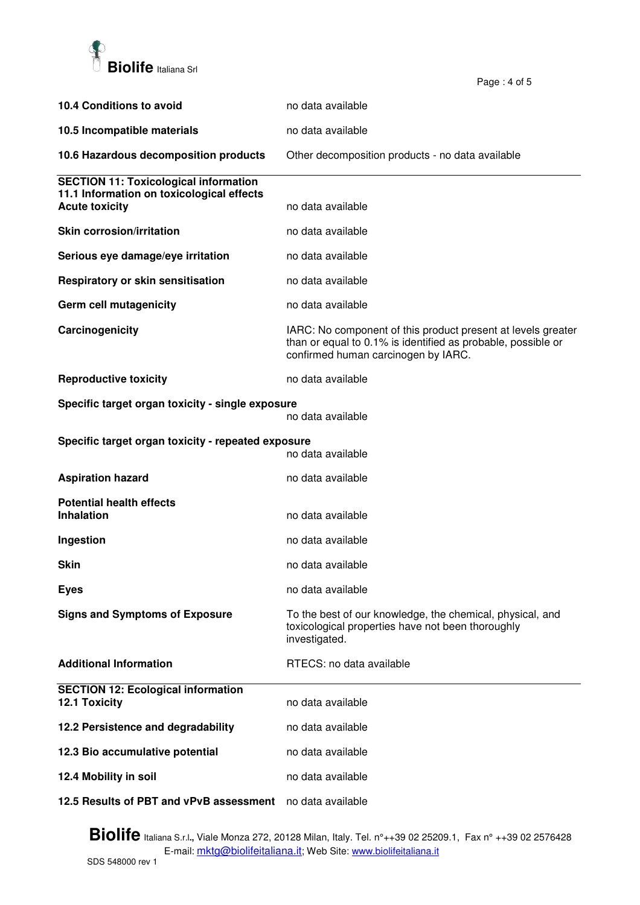

| 10.4 Conditions to avoid                                           | no data available                                                                                                                                                   |
|--------------------------------------------------------------------|---------------------------------------------------------------------------------------------------------------------------------------------------------------------|
| 10.5 Incompatible materials                                        | no data available                                                                                                                                                   |
| 10.6 Hazardous decomposition products                              | Other decomposition products - no data available                                                                                                                    |
| <b>SECTION 11: Toxicological information</b>                       |                                                                                                                                                                     |
| 11.1 Information on toxicological effects<br><b>Acute toxicity</b> | no data available                                                                                                                                                   |
| <b>Skin corrosion/irritation</b>                                   | no data available                                                                                                                                                   |
| Serious eye damage/eye irritation                                  | no data available                                                                                                                                                   |
| Respiratory or skin sensitisation                                  | no data available                                                                                                                                                   |
| Germ cell mutagenicity                                             | no data available                                                                                                                                                   |
| Carcinogenicity                                                    | IARC: No component of this product present at levels greater<br>than or equal to 0.1% is identified as probable, possible or<br>confirmed human carcinogen by IARC. |
| <b>Reproductive toxicity</b>                                       | no data available                                                                                                                                                   |
| Specific target organ toxicity - single exposure                   | no data available                                                                                                                                                   |
| Specific target organ toxicity - repeated exposure                 | no data available                                                                                                                                                   |
| <b>Aspiration hazard</b>                                           | no data available                                                                                                                                                   |
| <b>Potential health effects</b>                                    |                                                                                                                                                                     |
| <b>Inhalation</b>                                                  | no data available                                                                                                                                                   |
| Ingestion                                                          | no data available                                                                                                                                                   |
| Skin                                                               | no data available                                                                                                                                                   |
| <b>Eyes</b>                                                        | no data available                                                                                                                                                   |
| <b>Signs and Symptoms of Exposure</b>                              | To the best of our knowledge, the chemical, physical, and<br>toxicological properties have not been thoroughly<br>investigated.                                     |
| <b>Additional Information</b>                                      | RTECS: no data available                                                                                                                                            |
| <b>SECTION 12: Ecological information</b><br>12.1 Toxicity         | no data available                                                                                                                                                   |
| 12.2 Persistence and degradability                                 | no data available                                                                                                                                                   |
| 12.3 Bio accumulative potential                                    | no data available                                                                                                                                                   |
| 12.4 Mobility in soil                                              | no data available                                                                                                                                                   |
| 12.5 Results of PBT and vPvB assessment                            | no data available                                                                                                                                                   |

Page : 4 of 5